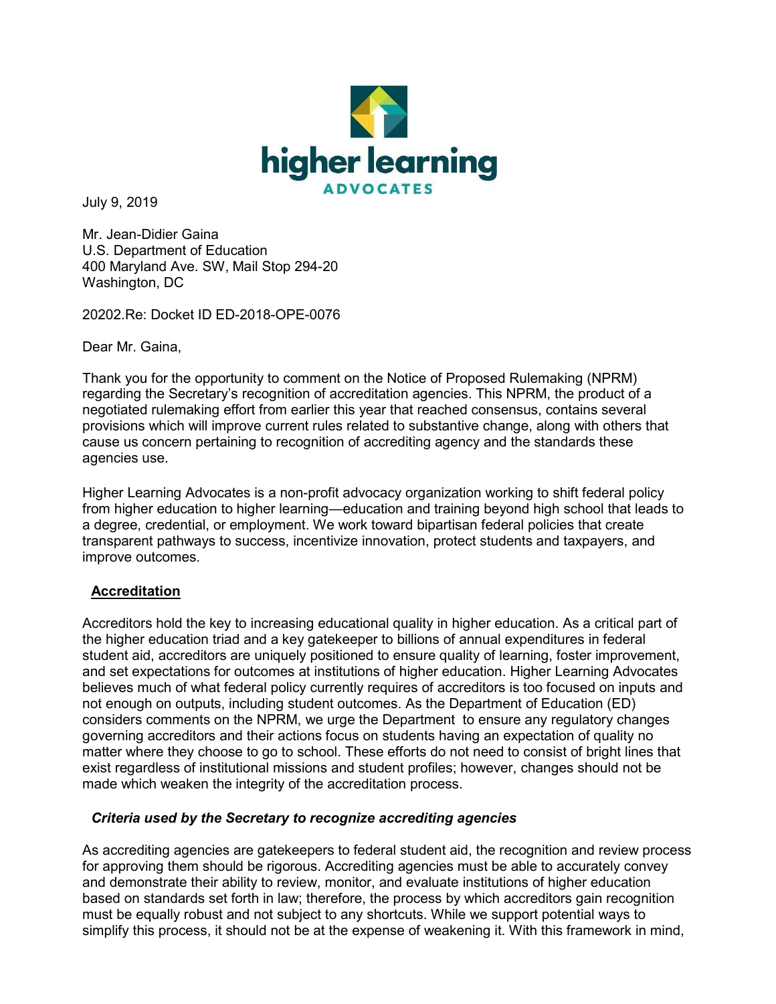

July 9, 2019

Mr. Jean-Didier Gaina U.S. Department of Education 400 Maryland Ave. SW, Mail Stop 294-20 Washington, DC

20202.Re: Docket ID ED-2018-OPE-0076

Dear Mr. Gaina,

Thank you for the opportunity to comment on the Notice of Proposed Rulemaking (NPRM) regarding the Secretary's recognition of accreditation agencies. This NPRM, the product of a negotiated rulemaking effort from earlier this year that reached consensus, contains several provisions which will improve current rules related to substantive change, along with others that cause us concern pertaining to recognition of accrediting agency and the standards these agencies use.

Higher Learning Advocates is a non-profit advocacy organization working to shift federal policy from higher education to higher learning—education and training beyond high school that leads to a degree, credential, or employment. We work toward bipartisan federal policies that create transparent pathways to success, incentivize innovation, protect students and taxpayers, and improve outcomes.

## **Accreditation**

Accreditors hold the key to increasing educational quality in higher education. As a critical part of the higher education triad and a key gatekeeper to billions of annual expenditures in federal student aid, accreditors are uniquely positioned to ensure quality of learning, foster improvement, and set expectations for outcomes at institutions of higher education. Higher Learning Advocates believes much of what federal policy currently requires of accreditors is too focused on inputs and not enough on outputs, including student outcomes. As the Department of Education (ED) considers comments on the NPRM, we urge the Department to ensure any regulatory changes governing accreditors and their actions focus on students having an expectation of quality no matter where they choose to go to school. These efforts do not need to consist of bright lines that exist regardless of institutional missions and student profiles; however, changes should not be made which weaken the integrity of the accreditation process.

## *Criteria used by the Secretary to recognize accrediting agencies*

As accrediting agencies are gatekeepers to federal student aid, the recognition and review process for approving them should be rigorous. Accrediting agencies must be able to accurately convey and demonstrate their ability to review, monitor, and evaluate institutions of higher education based on standards set forth in law; therefore, the process by which accreditors gain recognition must be equally robust and not subject to any shortcuts. While we support potential ways to simplify this process, it should not be at the expense of weakening it. With this framework in mind,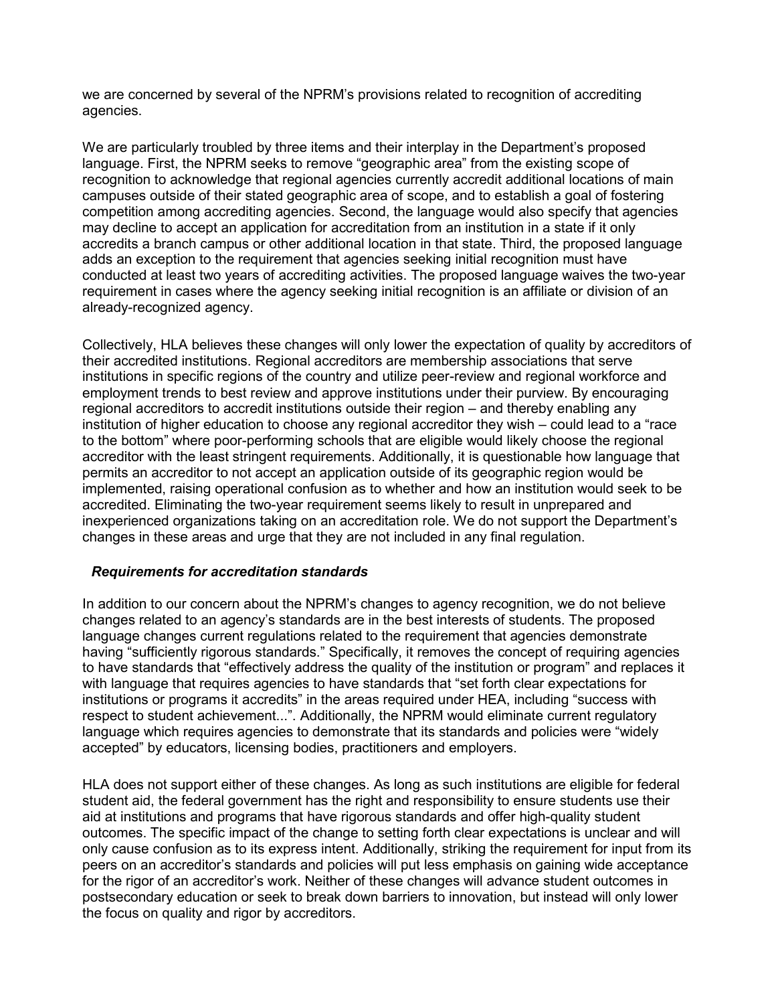we are concerned by several of the NPRM's provisions related to recognition of accrediting agencies.

We are particularly troubled by three items and their interplay in the Department's proposed language. First, the NPRM seeks to remove "geographic area" from the existing scope of recognition to acknowledge that regional agencies currently accredit additional locations of main campuses outside of their stated geographic area of scope, and to establish a goal of fostering competition among accrediting agencies. Second, the language would also specify that agencies may decline to accept an application for accreditation from an institution in a state if it only accredits a branch campus or other additional location in that state. Third, the proposed language adds an exception to the requirement that agencies seeking initial recognition must have conducted at least two years of accrediting activities. The proposed language waives the two-year requirement in cases where the agency seeking initial recognition is an affiliate or division of an already-recognized agency.

Collectively, HLA believes these changes will only lower the expectation of quality by accreditors of their accredited institutions. Regional accreditors are membership associations that serve institutions in specific regions of the country and utilize peer-review and regional workforce and employment trends to best review and approve institutions under their purview. By encouraging regional accreditors to accredit institutions outside their region – and thereby enabling any institution of higher education to choose any regional accreditor they wish – could lead to a "race to the bottom" where poor-performing schools that are eligible would likely choose the regional accreditor with the least stringent requirements. Additionally, it is questionable how language that permits an accreditor to not accept an application outside of its geographic region would be implemented, raising operational confusion as to whether and how an institution would seek to be accredited. Eliminating the two-year requirement seems likely to result in unprepared and inexperienced organizations taking on an accreditation role. We do not support the Department's changes in these areas and urge that they are not included in any final regulation.

## *Requirements for accreditation standards*

In addition to our concern about the NPRM's changes to agency recognition, we do not believe changes related to an agency's standards are in the best interests of students. The proposed language changes current regulations related to the requirement that agencies demonstrate having "sufficiently rigorous standards." Specifically, it removes the concept of requiring agencies to have standards that "effectively address the quality of the institution or program" and replaces it with language that requires agencies to have standards that "set forth clear expectations for institutions or programs it accredits" in the areas required under HEA, including "success with respect to student achievement...". Additionally, the NPRM would eliminate current regulatory language which requires agencies to demonstrate that its standards and policies were "widely accepted" by educators, licensing bodies, practitioners and employers.

HLA does not support either of these changes. As long as such institutions are eligible for federal student aid, the federal government has the right and responsibility to ensure students use their aid at institutions and programs that have rigorous standards and offer high-quality student outcomes. The specific impact of the change to setting forth clear expectations is unclear and will only cause confusion as to its express intent. Additionally, striking the requirement for input from its peers on an accreditor's standards and policies will put less emphasis on gaining wide acceptance for the rigor of an accreditor's work. Neither of these changes will advance student outcomes in postsecondary education or seek to break down barriers to innovation, but instead will only lower the focus on quality and rigor by accreditors.